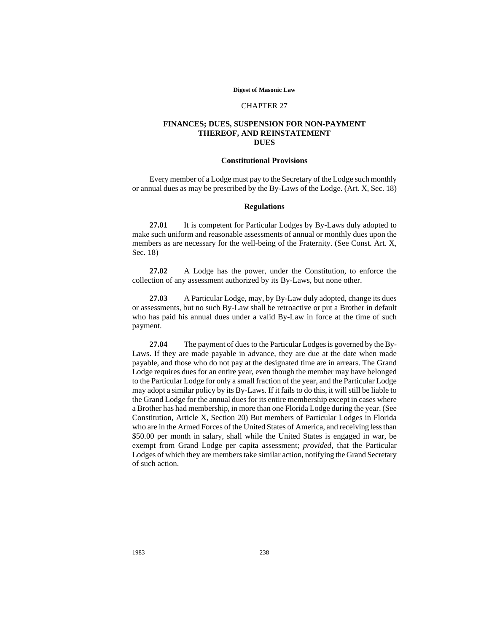#### **Digest of Masonic Law**

## CHAPTER 27

## **FINANCES; DUES, SUSPENSION FOR NON-PAYMENT THEREOF, AND REINSTATEMENT DUES**

### **Constitutional Provisions**

Every member of a Lodge must pay to the Secretary of the Lodge such monthly or annual dues as may be prescribed by the By-Laws of the Lodge. (Art. X, Sec. 18)

## **Regulations**

**27.01** It is competent for Particular Lodges by By-Laws duly adopted to make such uniform and reasonable assessments of annual or monthly dues upon the members as are necessary for the well-being of the Fraternity. (See Const. Art. X, Sec. 18)

**27.02** A Lodge has the power, under the Constitution, to enforce the collection of any assessment authorized by its By-Laws, but none other.

**27.03** A Particular Lodge, may, by By-Law duly adopted, change its dues or assessments, but no such By-Law shall be retroactive or put a Brother in default who has paid his annual dues under a valid By-Law in force at the time of such payment.

**27.04** The payment of dues to the Particular Lodges is governed by the By-Laws. If they are made payable in advance, they are due at the date when made payable, and those who do not pay at the designated time are in arrears. The Grand Lodge requires dues for an entire year, even though the member may have belonged to the Particular Lodge for only a small fraction of the year, and the Particular Lodge may adopt a similar policy by its By-Laws. If it fails to do this, it will still be liable to the Grand Lodge for the annual dues for its entire membership except in cases where a Brother has had membership, in more than one Florida Lodge during the year. (See Constitution, Article X, Section 20) But members of Particular Lodges in Florida who are in the Armed Forces of the United States of America, and receiving less than \$50.00 per month in salary, shall while the United States is engaged in war, be exempt from Grand Lodge per capita assessment; *provided*, that the Particular Lodges of which they are members take similar action, notifying the Grand Secretary of such action.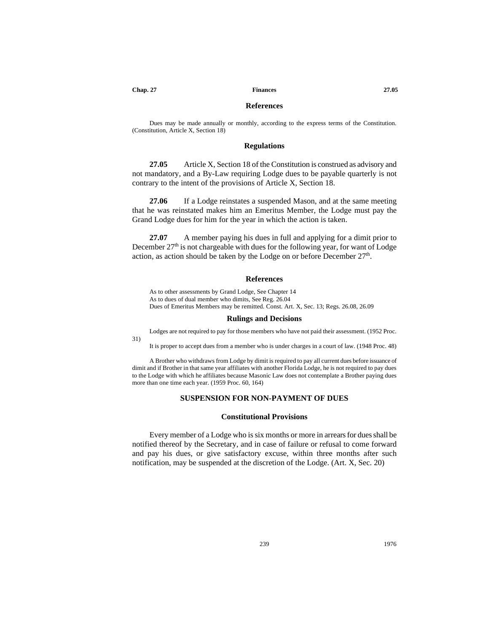31)

#### **Chap. 27 Finances 27.05**

### **References**

Dues may be made annually or monthly, according to the express terms of the Constitution. (Constitution, Article X, Section 18)

## **Regulations**

**27.05** Article X, Section 18 of the Constitution is construed as advisory and not mandatory, and a By-Law requiring Lodge dues to be payable quarterly is not contrary to the intent of the provisions of Article X, Section 18.

**27.06** If a Lodge reinstates a suspended Mason, and at the same meeting that he was reinstated makes him an Emeritus Member, the Lodge must pay the Grand Lodge dues for him for the year in which the action is taken.

**27.07** A member paying his dues in full and applying for a dimit prior to December 27<sup>th</sup> is not chargeable with dues for the following year, for want of Lodge action, as action should be taken by the Lodge on or before December 27<sup>th</sup>.

#### **References**

As to other assessments by Grand Lodge, See Chapter 14 As to dues of dual member who dimits, See Reg. 26.04 Dues of Emeritus Members may be remitted. Const. Art. X, Sec. 13; Regs. 26.08, 26.09

### **Rulings and Decisions**

Lodges are not required to pay for those members who have not paid their assessment. (1952 Proc.

It is proper to accept dues from a member who is under charges in a court of law. (1948 Proc. 48)

A Brother who withdraws from Lodge by dimit is required to pay all current dues before issuance of dimit and if Brother in that same year affiliates with another Florida Lodge, he is not required to pay dues to the Lodge with which he affiliates because Masonic Law does not contemplate a Brother paying dues more than one time each year. (1959 Proc. 60, 164)

## **SUSPENSION FOR NON-PAYMENT OF DUES**

### **Constitutional Provisions**

Every member of a Lodge who is six months or more in arrears for dues shall be notified thereof by the Secretary, and in case of failure or refusal to come forward and pay his dues, or give satisfactory excuse, within three months after such notification, may be suspended at the discretion of the Lodge. (Art. X, Sec. 20)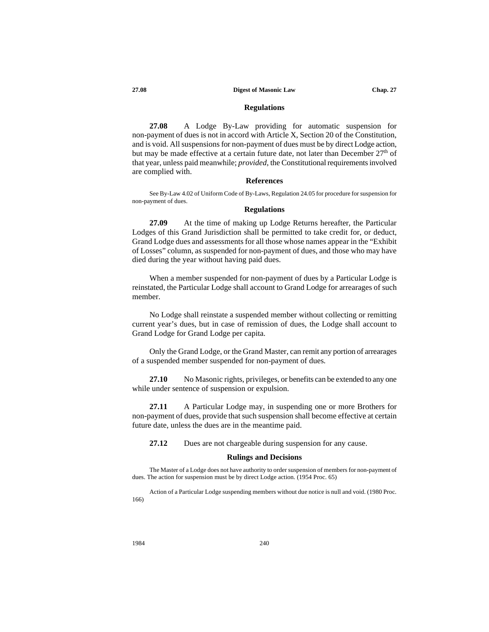#### **27.08 Digest of Masonic Law Chap. 27**

## **Regulations**

**27.08** A Lodge By-Law providing for automatic suspension for non-payment of dues is not in accord with Article X, Section 20 of the Constitution, and is void. All suspensions for non-payment of dues must be by direct Lodge action, but may be made effective at a certain future date, not later than December 27<sup>th</sup> of that year, unless paid meanwhile; *provided*, the Constitutional requirements involved are complied with.

#### **References**

See By-Law 4.02 of Uniform Code of By-Laws, Regulation 24.05 for procedure for suspension for non-payment of dues.

## **Regulations**

**27.09** At the time of making up Lodge Returns hereafter, the Particular Lodges of this Grand Jurisdiction shall be permitted to take credit for, or deduct, Grand Lodge dues and assessments for all those whose names appear in the "Exhibit of Losses" column, as suspended for non-payment of dues, and those who may have died during the year without having paid dues.

When a member suspended for non-payment of dues by a Particular Lodge is reinstated, the Particular Lodge shall account to Grand Lodge for arrearages of such member.

No Lodge shall reinstate a suspended member without collecting or remitting current year's dues, but in case of remission of dues, the Lodge shall account to Grand Lodge for Grand Lodge per capita.

Only the Grand Lodge, or the Grand Master, can remit any portion of arrearages of a suspended member suspended for non-payment of dues.

**27.10** No Masonic rights, privileges, or benefits can be extended to any one while under sentence of suspension or expulsion.

**27.11** A Particular Lodge may, in suspending one or more Brothers for non-payment of dues, provide that such suspension shall become effective at certain future date, unless the dues are in the meantime paid.

**27.12** Dues are not chargeable during suspension for any cause.

## **Rulings and Decisions**

The Master of a Lodge does not have authority to order suspension of members for non-payment of dues. The action for suspension must be by direct Lodge action. (1954 Proc. 65)

Action of a Particular Lodge suspending members without due notice is null and void. (1980 Proc. 166)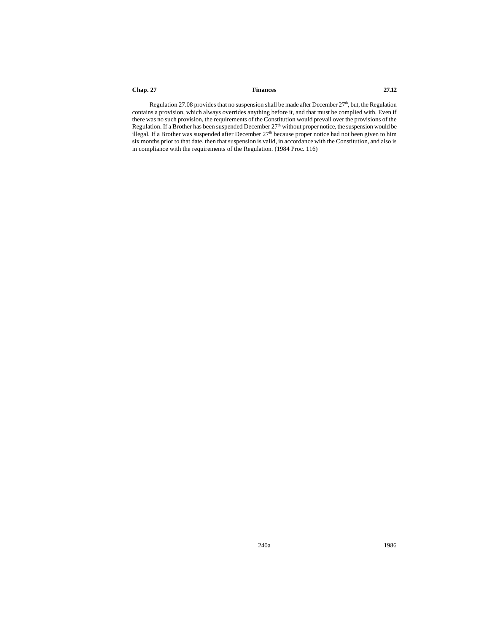# **Chap. 27 Finances 27.12**

Regulation 27.08 provides that no suspension shall be made after December 27<sup>th</sup>, but, the Regulation contains a provision, which always overrides anything before it, and that must be complied with. Even if there was no such provision, the requirements of the Constitution would prevail over the provisions of the Regulation. If a Brother has been suspended December  $27<sup>th</sup>$  without proper notice, the suspension would be illegal. If a Brother was suspended after December  $27<sup>th</sup>$  because proper notice had not been given to him six months prior to that date, then that suspension is valid, in accordance with the Constitution, and also is in compliance with the requirements of the Regulation. (1984 Proc. 116)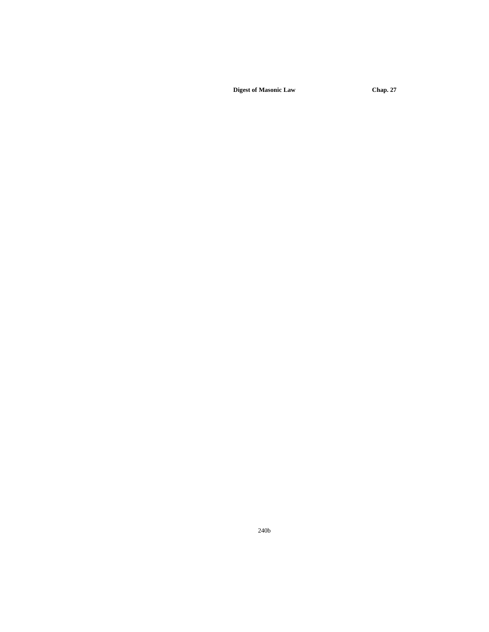**Digest of Masonic Law Chap. 27**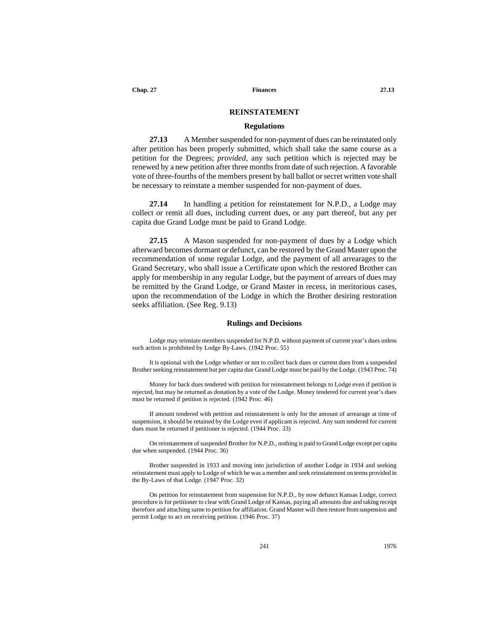**Chap. 27 Finances 27.13**

## **REINSTATEMENT**

## **Regulations**

**27.13** A Member suspended for non-payment of dues can be reinstated only after petition has been properly submitted, which shall take the same course as a petition for the Degrees; *provided*, any such petition which is rejected may be renewed by a new petition after three months from date of such rejection. A favorable vote of three-fourths of the members present by ball ballot or secret written vote shall be necessary to reinstate a member suspended for non-payment of dues.

**27.14** In handling a petition for reinstatement for N.P.D., a Lodge may collect or remit all dues, including current dues, or any part thereof, but any per capita due Grand Lodge must be paid to Grand Lodge.

**27.15** A Mason suspended for non-payment of dues by a Lodge which afterward becomes dormant or defunct, can be restored by the Grand Master upon the recommendation of some regular Lodge, and the payment of all arrearages to the Grand Secretary, who shall issue a Certificate upon which the restored Brother can apply for membership in any regular Lodge, but the payment of arrears of dues may be remitted by the Grand Lodge, or Grand Master in recess, in meritorious cases, upon the recommendation of the Lodge in which the Brother desiring restoration seeks affiliation. (See Reg. 9.13)

## **Rulings and Decisions**

Lodge may reinstate members suspended for N.P.D. without payment of current year's dues unless such action is prohibited by Lodge By-Laws. (1942 Proc. 55)

It is optional with the Lodge whether or not to collect back dues or current dues from a suspended Brother seeking reinstatement but per capita due Grand Lodge must be paid by the Lodge. (1943 Proc. 74)

Money for back dues tendered with petition for reinstatement belongs to Lodge even if petition is rejected, but may be returned as donation by a vote of the Lodge. Money tendered for current year's dues must be returned if petition is rejected. (1942 Proc. 46)

If amount tendered with petition and reinstatement is only for the amount of arrearage at time of suspension, it should be retained by the Lodge even if applicant is rejected. Any sum tendered for current dues must be returned if petitioner is rejected. (1944 Proc. 33)

On reinstatement of suspended Brother for N.P.D., nothing is paid to Grand Lodge except per capita due when suspended. (1944 Proc. 36)

Brother suspended in 1933 and moving into jurisdiction of another Lodge in 1934 and seeking reinstatement must apply to Lodge of which he was a member and seek reinstatement on terms provided in the By-Laws of that Lodge. (1947 Proc. 32)

On petition for reinstatement from suspension for N.P.D., by now defunct Kansas Lodge, correct procedure is for petitioner to clear with Grand Lodge of Kansas, paying all amounts due and taking receipt therefore and attaching same to petition for affiliation. Grand Master will then restore from suspension and permit Lodge to act on receiving petition. (1946 Proc. 37)